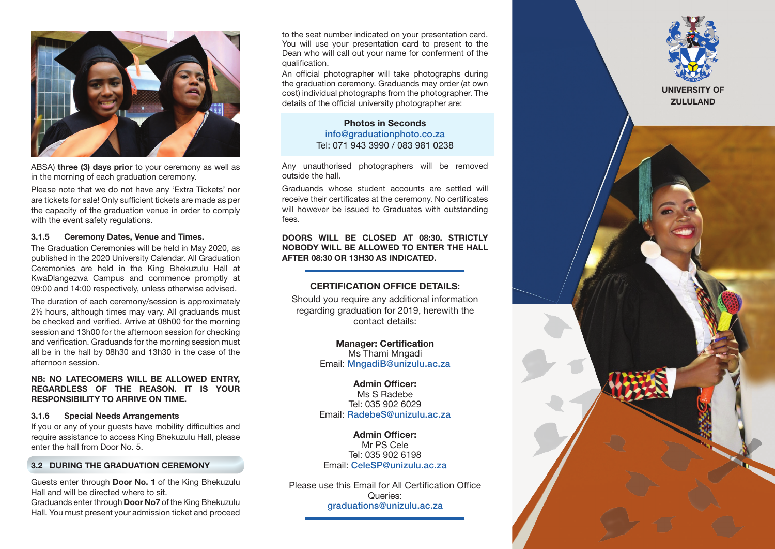

ABSA) three (3) days prior to your ceremony as well as in the morning of each graduation ceremony.

Please note that we do not have any 'Extra Tickets' nor are tickets for sale! Only sufficient tickets are made as per the capacity of the graduation venue in order to comply with the event safety regulations.

#### 3.1.5 Ceremony Dates, Venue and Times.

The Graduation Ceremonies will be held in May 2020, as published in the 2020 University Calendar. All Graduation Ceremonies are held in the King Bhekuzulu Hall at KwaDlangezwa Campus and commence promptly at 09:00 and 14:00 respectively, unless otherwise advised.

The duration of each ceremony/session is approximately 2½ hours, although times may vary. All graduands must be checked and verified. Arrive at 08h00 for the morning session and 13h00 for the afternoon session for checking and verification. Graduands for the morning session must all be in the hall by 08h30 and 13h30 in the case of the afternoon session.

## NB: NO LATECOMERS WILL BE ALLOWED ENTRY, REGARDLESS OF THE REASON. IT IS YOUR RESPONSIBILITY TO ARRIVE ON TIME.

#### 3.1.6 Special Needs Arrangements

If you or any of your guests have mobility difficulties and require assistance to access King Bhekuzulu Hall, please enter the hall from Door No. 5.

### 3.2 DURING THE GRADUATION CEREMONY

Guests enter through Door No. 1 of the King Bhekuzulu Hall and will be directed where to sit.

Graduands enter through Door No7 of the King Bhekuzulu Hall. You must present your admission ticket and proceed to the seat number indicated on your presentation card. You will use your presentation card to present to the Dean who will call out your name for conferment of the qualification.

An official photographer will take photographs during the graduation ceremony. Graduands may order (at own cost) individual photographs from the photographer. The details of the official university photographer are:

> Photos in Seconds info@graduationphoto.co.za Tel: 071 943 3990 / 083 981 0238

Any unauthorised photographers will be removed outside the hall.

Graduands whose student accounts are settled will receive their certificates at the ceremony. No certificates will however be issued to Graduates with outstanding fees.

## DOORS WILL BE CLOSED AT 08:30. STRICTLY NOBODY WILL BE ALLOWED TO ENTER THE HALL AFTER 08:30 OR 13H30 AS INDICATED.

# CERTIFICATION OFFICE DETAILS:

Should you require any additional information regarding graduation for 2019, herewith the contact details:

> Manager: Certification Ms Thami Mngadi Email: MngadiB@unizulu.ac.za

> Admin Officer: Ms S Radebe Tel: 035 902 6029 Email: RadebeS@unizulu.ac.za

Admin Officer: Mr PS Cele Tel: 035 902 6198 Email: CeleSP@unizulu.ac.za

Please use this Email for All Certification Office Queries: graduations@unizulu.ac.za